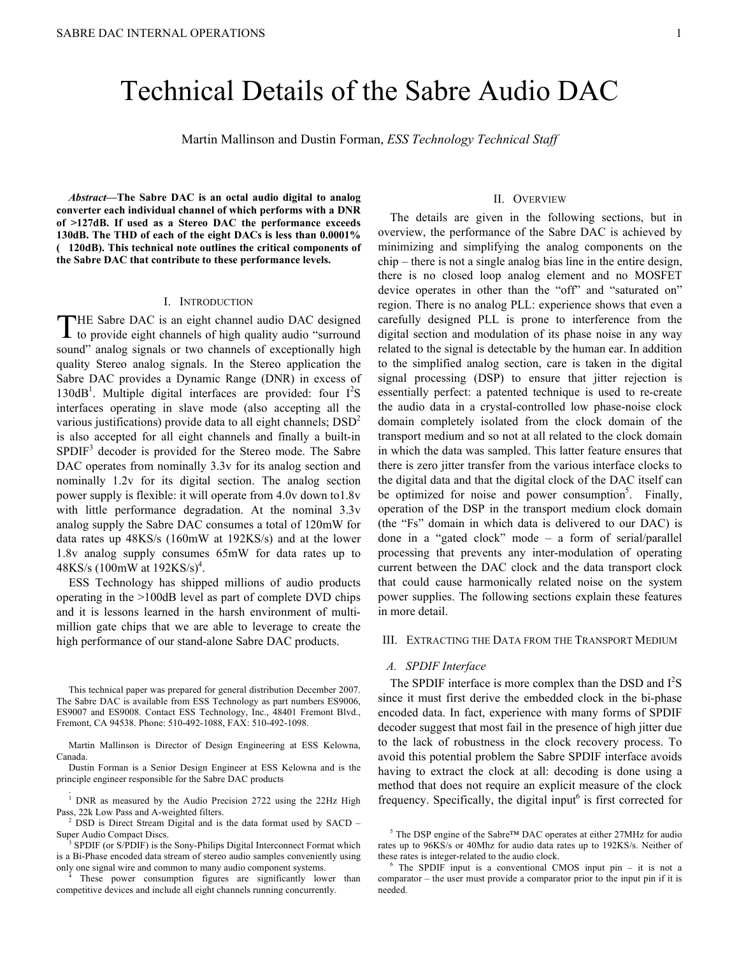# Technical Details of the Sabre Audio DAC

Martin Mallinson and Dustin Forman, *ESS Technology Technical Staff*

*Abstract***—The Sabre DAC is an octal audio digital to analog converter each individual channel of which performs with a DNR of >127dB. If used as a Stereo DAC the performance exceeds 130dB. The THD of each of the eight DACs is less than 0.0001% (120dB). This technical note outlines the critical components of the Sabre DAC that contribute to these performance levels.**

#### I. INTRODUCTION

HE Sabre DAC is an eight channel audio DAC designed THE Sabre DAC is an eight channel audio DAC designed to provide eight channels of high quality audio "surround sound" analog signals or two channels of exceptionally high quality Stereo analog signals. In the Stereo application the Sabre DAC provides a Dynamic Range (DNR) in excess of 130dB<sup>1</sup>. Multiple digital interfaces are provided: four  $I^2S$ interfaces operating in slave mode (also accepting all the various justifications) provide data to all eight channels;  $\text{DSD}^2$ is also accepted for all eight channels and finally a built-in  $SPDIF<sup>3</sup>$  decoder is provided for the Stereo mode. The Sabre DAC operates from nominally 3.3v for its analog section and nominally 1.2v for its digital section. The analog section power supply is flexible: it will operate from 4.0v down to1.8v with little performance degradation. At the nominal 3.3v analog supply the Sabre DAC consumes a total of 120mW for data rates up 48KS/s (160mW at 192KS/s) and at the lower 1.8v analog supply consumes 65mW for data rates up to  $48K S/s (100mW at 192KS/s)^4$ .

ESS Technology has shipped millions of audio products operating in the >100dB level as part of complete DVD chips and it is lessons learned in the harsh environment of multimillion gate chips that we are able to leverage to create the high performance of our stand-alone Sabre DAC products.

This technical paper was prepared for general distribution December 2007. The Sabre DAC is available from ESS Technology as part numbers ES9006, ES9007 and ES9008. Contact ESS Technology, Inc., 48401 Fremont Blvd., Fremont, CA 94538. Phone: 510-492-1088, FAX: 510-492-1098.

Martin Mallinson is Director of Design Engineering at ESS Kelowna, Canada.

Dustin Forman is a Senior Design Engineer at ESS Kelowna and is the principle engineer responsible for the Sabre DAC products

. 1 DNR as measured by the Audio Precision 2722 using the 22Hz High Pass, 22k Low Pass and A-weighted filters.

2 DSD is Direct Stream Digital and is the data format used by SACD – Super Audio Compact Discs.

3 SPDIF (or S/PDIF) is the Sony-Philips Digital Interconnect Format which is a Bi-Phase encoded data stream of stereo audio samples conveniently using only one signal wire and common to many audio component systems.

4 These power consumption figures are significantly lower than competitive devices and include all eight channels running concurrently.

#### II. OVERVIEW

The details are given in the following sections, but in overview, the performance of the Sabre DAC is achieved by minimizing and simplifying the analog components on the chip – there is not a single analog bias line in the entire design, there is no closed loop analog element and no MOSFET device operates in other than the "off" and "saturated on" region. There is no analog PLL: experience shows that even a carefully designed PLL is prone to interference from the digital section and modulation of its phase noise in any way related to the signal is detectable by the human ear. In addition to the simplified analog section, care is taken in the digital signal processing (DSP) to ensure that jitter rejection is essentially perfect: a patented technique is used to re-create the audio data in a crystal-controlled low phase-noise clock domain completely isolated from the clock domain of the transport medium and so not at all related to the clock domain in which the data was sampled. This latter feature ensures that there is zero jitter transfer from the various interface clocks to the digital data and that the digital clock of the DAC itself can be optimized for noise and power consumption<sup>5</sup>. Finally, operation of the DSP in the transport medium clock domain (the "Fs" domain in which data is delivered to our DAC) is done in a "gated clock" mode – a form of serial/parallel processing that prevents any inter-modulation of operating current between the DAC clock and the data transport clock that could cause harmonically related noise on the system power supplies. The following sections explain these features in more detail.

## III. EXTRACTING THE DATA FROM THE TRANSPORT MEDIUM

## *A. SPDIF Interface*

The SPDIF interface is more complex than the DSD and  $I^2S$ since it must first derive the embedded clock in the bi-phase encoded data. In fact, experience with many forms of SPDIF decoder suggest that most fail in the presence of high jitter due to the lack of robustness in the clock recovery process. To avoid this potential problem the Sabre SPDIF interface avoids having to extract the clock at all: decoding is done using a method that does not require an explicit measure of the clock frequency. Specifically, the digital input $6$  is first corrected for

<sup>5</sup> The DSP engine of the Sabre™ DAC operates at either 27MHz for audio rates up to 96KS/s or 40Mhz for audio data rates up to 192KS/s. Neither of these rates is integer-related to the audio clock.

<sup>6</sup> The SPDIF input is a conventional CMOS input pin – it is not a comparator – the user must provide a comparator prior to the input pin if it is needed.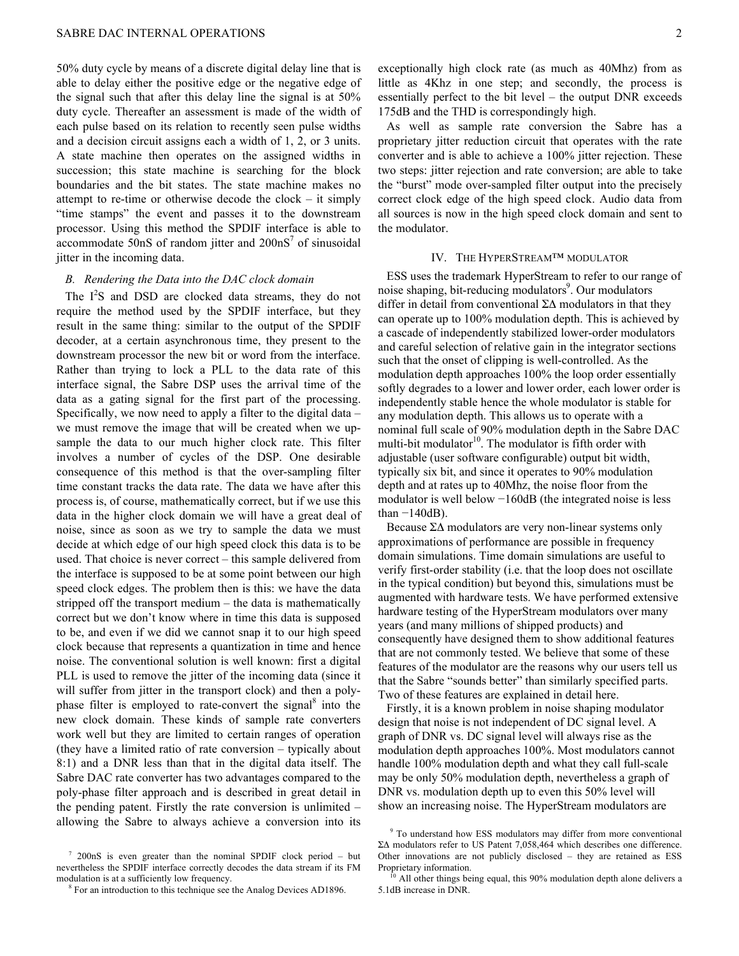50% duty cycle by means of a discrete digital delay line that is able to delay either the positive edge or the negative edge of the signal such that after this delay line the signal is at 50% duty cycle. Thereafter an assessment is made of the width of each pulse based on its relation to recently seen pulse widths and a decision circuit assigns each a width of 1, 2, or 3 units. A state machine then operates on the assigned widths in succession; this state machine is searching for the block boundaries and the bit states. The state machine makes no attempt to re-time or otherwise decode the clock – it simply "time stamps" the event and passes it to the downstream processor. Using this method the SPDIF interface is able to accommodate 50nS of random jitter and  $200 \text{ns}^7$  of sinusoidal jitter in the incoming data.

# *B. Rendering the Data into the DAC clock domain*

The  $I^2S$  and DSD are clocked data streams, they do not require the method used by the SPDIF interface, but they result in the same thing: similar to the output of the SPDIF decoder, at a certain asynchronous time, they present to the downstream processor the new bit or word from the interface. Rather than trying to lock a PLL to the data rate of this interface signal, the Sabre DSP uses the arrival time of the data as a gating signal for the first part of the processing. Specifically, we now need to apply a filter to the digital data – we must remove the image that will be created when we upsample the data to our much higher clock rate. This filter involves a number of cycles of the DSP. One desirable consequence of this method is that the over-sampling filter time constant tracks the data rate. The data we have after this process is, of course, mathematically correct, but if we use this data in the higher clock domain we will have a great deal of noise, since as soon as we try to sample the data we must decide at which edge of our high speed clock this data is to be used. That choice is never correct – this sample delivered from the interface is supposed to be at some point between our high speed clock edges. The problem then is this: we have the data stripped off the transport medium – the data is mathematically correct but we don't know where in time this data is supposed to be, and even if we did we cannot snap it to our high speed clock because that represents a quantization in time and hence noise. The conventional solution is well known: first a digital PLL is used to remove the jitter of the incoming data (since it will suffer from jitter in the transport clock) and then a polyphase filter is employed to rate-convert the signal<sup>8</sup> into the new clock domain. These kinds of sample rate converters work well but they are limited to certain ranges of operation (they have a limited ratio of rate conversion – typically about 8:1) and a DNR less than that in the digital data itself. The Sabre DAC rate converter has two advantages compared to the poly-phase filter approach and is described in great detail in the pending patent. Firstly the rate conversion is unlimited – allowing the Sabre to always achieve a conversion into its

exceptionally high clock rate (as much as 40Mhz) from as little as 4Khz in one step; and secondly, the process is essentially perfect to the bit level – the output DNR exceeds 175dB and the THD is correspondingly high.

As well as sample rate conversion the Sabre has a proprietary jitter reduction circuit that operates with the rate converter and is able to achieve a 100% jitter rejection. These two steps: jitter rejection and rate conversion; are able to take the "burst" mode over-sampled filter output into the precisely correct clock edge of the high speed clock. Audio data from all sources is now in the high speed clock domain and sent to the modulator.

# IV. THE HYPERSTREAM™ MODULATOR

ESS uses the trademark HyperStream to refer to our range of noise shaping, bit-reducing modulators<sup>9</sup>. Our modulators differ in detail from conventional ΣΔ modulators in that they can operate up to 100% modulation depth. This is achieved by a cascade of independently stabilized lower-order modulators and careful selection of relative gain in the integrator sections such that the onset of clipping is well-controlled. As the modulation depth approaches 100% the loop order essentially softly degrades to a lower and lower order, each lower order is independently stable hence the whole modulator is stable for any modulation depth. This allows us to operate with a nominal full scale of 90% modulation depth in the Sabre DAC multi-bit modulator<sup>10</sup>. The modulator is fifth order with adjustable (user software configurable) output bit width, typically six bit, and since it operates to 90% modulation depth and at rates up to 40Mhz, the noise floor from the modulator is well below −160dB (the integrated noise is less than  $-140$ dB).

Because  $\Sigma\Delta$  modulators are very non-linear systems only approximations of performance are possible in frequency domain simulations. Time domain simulations are useful to verify first-order stability (i.e. that the loop does not oscillate in the typical condition) but beyond this, simulations must be augmented with hardware tests. We have performed extensive hardware testing of the HyperStream modulators over many years (and many millions of shipped products) and consequently have designed them to show additional features that are not commonly tested. We believe that some of these features of the modulator are the reasons why our users tell us that the Sabre "sounds better" than similarly specified parts. Two of these features are explained in detail here.

Firstly, it is a known problem in noise shaping modulator design that noise is not independent of DC signal level. A graph of DNR vs. DC signal level will always rise as the modulation depth approaches 100%. Most modulators cannot handle 100% modulation depth and what they call full-scale may be only 50% modulation depth, nevertheless a graph of DNR vs. modulation depth up to even this 50% level will show an increasing noise. The HyperStream modulators are

<sup>7</sup> 200nS is even greater than the nominal SPDIF clock period – but nevertheless the SPDIF interface correctly decodes the data stream if its FM modulation is at a sufficiently low frequency.

<sup>&</sup>lt;sup>8</sup> For an introduction to this technique see the Analog Devices AD1896.

<sup>&</sup>lt;sup>9</sup> To understand how ESS modulators may differ from more conventional ΣΔ modulators refer to US Patent 7,058,464 which describes one difference. Other innovations are not publicly disclosed – they are retained as ESS Proprietary information.

 $\frac{10}{10}$  All other things being equal, this 90% modulation depth alone delivers a 5.1dB increase in DNR.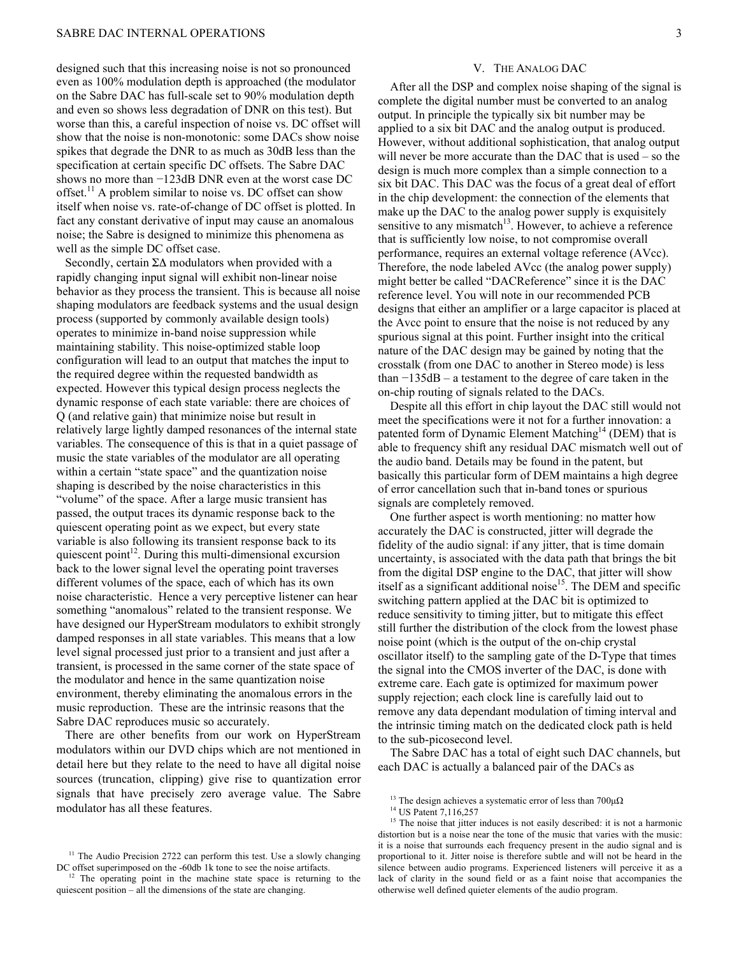designed such that this increasing noise is not so pronounced even as 100% modulation depth is approached (the modulator on the Sabre DAC has full-scale set to 90% modulation depth and even so shows less degradation of DNR on this test). But worse than this, a careful inspection of noise vs. DC offset will show that the noise is non-monotonic: some DACs show noise spikes that degrade the DNR to as much as 30dB less than the specification at certain specific DC offsets. The Sabre DAC shows no more than −123dB DNR even at the worst case DC offset.<sup>11</sup> A problem similar to noise vs. DC offset can show itself when noise vs. rate-of-change of DC offset is plotted. In fact any constant derivative of input may cause an anomalous noise; the Sabre is designed to minimize this phenomena as well as the simple DC offset case.

Secondly, certain  $\Sigma\Delta$  modulators when provided with a rapidly changing input signal will exhibit non-linear noise behavior as they process the transient. This is because all noise shaping modulators are feedback systems and the usual design process (supported by commonly available design tools) operates to minimize in-band noise suppression while maintaining stability. This noise-optimized stable loop configuration will lead to an output that matches the input to the required degree within the requested bandwidth as expected. However this typical design process neglects the dynamic response of each state variable: there are choices of Q (and relative gain) that minimize noise but result in relatively large lightly damped resonances of the internal state variables. The consequence of this is that in a quiet passage of music the state variables of the modulator are all operating within a certain "state space" and the quantization noise shaping is described by the noise characteristics in this "volume" of the space. After a large music transient has passed, the output traces its dynamic response back to the quiescent operating point as we expect, but every state variable is also following its transient response back to its quiescent point $12$ . During this multi-dimensional excursion back to the lower signal level the operating point traverses different volumes of the space, each of which has its own noise characteristic. Hence a very perceptive listener can hear something "anomalous" related to the transient response. We have designed our HyperStream modulators to exhibit strongly damped responses in all state variables. This means that a low level signal processed just prior to a transient and just after a transient, is processed in the same corner of the state space of the modulator and hence in the same quantization noise environment, thereby eliminating the anomalous errors in the music reproduction. These are the intrinsic reasons that the Sabre DAC reproduces music so accurately.

There are other benefits from our work on HyperStream modulators within our DVD chips which are not mentioned in detail here but they relate to the need to have all digital noise sources (truncation, clipping) give rise to quantization error signals that have precisely zero average value. The Sabre modulator has all these features.

#### <sup>11</sup> The Audio Precision 2722 can perform this test. Use a slowly changing DC offset superimposed on the -60db 1k tone to see the noise artifacts.

### V. THE ANALOG DAC

After all the DSP and complex noise shaping of the signal is complete the digital number must be converted to an analog output. In principle the typically six bit number may be applied to a six bit DAC and the analog output is produced. However, without additional sophistication, that analog output will never be more accurate than the DAC that is used – so the design is much more complex than a simple connection to a six bit DAC. This DAC was the focus of a great deal of effort in the chip development: the connection of the elements that make up the DAC to the analog power supply is exquisitely sensitive to any mismatch $13$ . However, to achieve a reference that is sufficiently low noise, to not compromise overall performance, requires an external voltage reference (AVcc). Therefore, the node labeled AVcc (the analog power supply) might better be called "DACReference" since it is the DAC reference level. You will note in our recommended PCB designs that either an amplifier or a large capacitor is placed at the Avcc point to ensure that the noise is not reduced by any spurious signal at this point. Further insight into the critical nature of the DAC design may be gained by noting that the crosstalk (from one DAC to another in Stereo mode) is less than −135dB – a testament to the degree of care taken in the on-chip routing of signals related to the DACs.

Despite all this effort in chip layout the DAC still would not meet the specifications were it not for a further innovation: a patented form of Dynamic Element Matching<sup>14</sup> (DEM) that is able to frequency shift any residual DAC mismatch well out of the audio band. Details may be found in the patent, but basically this particular form of DEM maintains a high degree of error cancellation such that in-band tones or spurious signals are completely removed.

One further aspect is worth mentioning: no matter how accurately the DAC is constructed, jitter will degrade the fidelity of the audio signal: if any jitter, that is time domain uncertainty, is associated with the data path that brings the bit from the digital DSP engine to the DAC, that jitter will show itself as a significant additional noise<sup>15</sup>. The DEM and specific switching pattern applied at the DAC bit is optimized to reduce sensitivity to timing jitter, but to mitigate this effect still further the distribution of the clock from the lowest phase noise point (which is the output of the on-chip crystal oscillator itself) to the sampling gate of the D-Type that times the signal into the CMOS inverter of the DAC, is done with extreme care. Each gate is optimized for maximum power supply rejection; each clock line is carefully laid out to remove any data dependant modulation of timing interval and the intrinsic timing match on the dedicated clock path is held to the sub-picosecond level.

The Sabre DAC has a total of eight such DAC channels, but each DAC is actually a balanced pair of the DACs as

<sup>&</sup>lt;sup>12</sup> The operating point in the machine state space is returning to the quiescent position – all the dimensions of the state are changing.

<sup>&</sup>lt;sup>13</sup> The design achieves a systematic error of less than 700 $\mu\Omega$ 

<sup>&</sup>lt;sup>14</sup> US Patent 7,116,257

<sup>&</sup>lt;sup>15</sup> The noise that jitter induces is not easily described: it is not a harmonic distortion but is a noise near the tone of the music that varies with the music: it is a noise that surrounds each frequency present in the audio signal and is proportional to it. Jitter noise is therefore subtle and will not be heard in the silence between audio programs. Experienced listeners will perceive it as a lack of clarity in the sound field or as a faint noise that accompanies the otherwise well defined quieter elements of the audio program.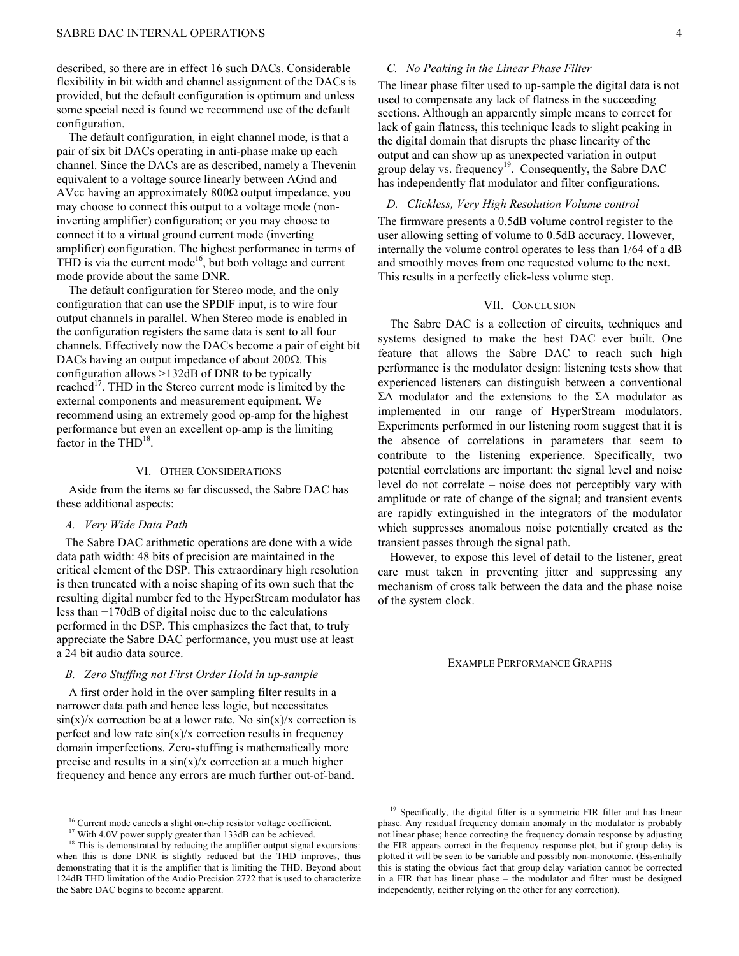described, so there are in effect 16 such DACs. Considerable flexibility in bit width and channel assignment of the DACs is provided, but the default configuration is optimum and unless some special need is found we recommend use of the default configuration.

The default configuration, in eight channel mode, is that a pair of six bit DACs operating in anti-phase make up each channel. Since the DACs are as described, namely a Thevenin equivalent to a voltage source linearly between AGnd and AVcc having an approximately  $800\Omega$  output impedance, you may choose to connect this output to a voltage mode (noninverting amplifier) configuration; or you may choose to connect it to a virtual ground current mode (inverting amplifier) configuration. The highest performance in terms of THD is via the current mode<sup>16</sup>, but both voltage and current mode provide about the same DNR.

The default configuration for Stereo mode, and the only configuration that can use the SPDIF input, is to wire four output channels in parallel. When Stereo mode is enabled in the configuration registers the same data is sent to all four channels. Effectively now the DACs become a pair of eight bit DACs having an output impedance of about 200Ω. This configuration allows >132dB of DNR to be typically reached<sup>17</sup>. THD in the Stereo current mode is limited by the external components and measurement equipment. We recommend using an extremely good op-amp for the highest performance but even an excellent op-amp is the limiting factor in the THD $^{18}$ .

# VI. OTHER CONSIDERATIONS

Aside from the items so far discussed, the Sabre DAC has these additional aspects:

## *A. Very Wide Data Path*

The Sabre DAC arithmetic operations are done with a wide data path width: 48 bits of precision are maintained in the critical element of the DSP. This extraordinary high resolution is then truncated with a noise shaping of its own such that the resulting digital number fed to the HyperStream modulator has less than −170dB of digital noise due to the calculations performed in the DSP. This emphasizes the fact that, to truly appreciate the Sabre DAC performance, you must use at least a 24 bit audio data source.

#### *B. Zero Stuffing not First Order Hold in up-sample*

A first order hold in the over sampling filter results in a narrower data path and hence less logic, but necessitates  $\sin(x)/x$  correction be at a lower rate. No  $\sin(x)/x$  correction is perfect and low rate  $sin(x)/x$  correction results in frequency domain imperfections. Zero-stuffing is mathematically more precise and results in a  $sin(x)/x$  correction at a much higher frequency and hence any errors are much further out-of-band.

<sup>17</sup> With 4.0V power supply greater than 133dB can be achieved.

# *C. No Peaking in the Linear Phase Filter*

The linear phase filter used to up-sample the digital data is not used to compensate any lack of flatness in the succeeding sections. Although an apparently simple means to correct for lack of gain flatness, this technique leads to slight peaking in the digital domain that disrupts the phase linearity of the output and can show up as unexpected variation in output group delay vs. frequency<sup>19</sup>. Consequently, the Sabre DAC has independently flat modulator and filter configurations.

## *D. Clickless, Very High Resolution Volume control*

The firmware presents a 0.5dB volume control register to the user allowing setting of volume to 0.5dB accuracy. However, internally the volume control operates to less than 1/64 of a dB and smoothly moves from one requested volume to the next. This results in a perfectly click-less volume step.

## VII. CONCLUSION

The Sabre DAC is a collection of circuits, techniques and systems designed to make the best DAC ever built. One feature that allows the Sabre DAC to reach such high performance is the modulator design: listening tests show that experienced listeners can distinguish between a conventional ΣΔ modulator and the extensions to the ΣΔ modulator as implemented in our range of HyperStream modulators. Experiments performed in our listening room suggest that it is the absence of correlations in parameters that seem to contribute to the listening experience. Specifically, two potential correlations are important: the signal level and noise level do not correlate – noise does not perceptibly vary with amplitude or rate of change of the signal; and transient events are rapidly extinguished in the integrators of the modulator which suppresses anomalous noise potentially created as the transient passes through the signal path.

However, to expose this level of detail to the listener, great care must taken in preventing jitter and suppressing any mechanism of cross talk between the data and the phase noise of the system clock.

## EXAMPLE PERFORMANCE GRAPHS

<sup>19</sup> Specifically, the digital filter is a symmetric FIR filter and has linear phase. Any residual frequency domain anomaly in the modulator is probably not linear phase; hence correcting the frequency domain response by adjusting the FIR appears correct in the frequency response plot, but if group delay is plotted it will be seen to be variable and possibly non-monotonic. (Essentially this is stating the obvious fact that group delay variation cannot be corrected in a FIR that has linear phase – the modulator and filter must be designed independently, neither relying on the other for any correction).

<sup>&</sup>lt;sup>18</sup> This is demonstrated by reducing the amplifier output signal excursions: when this is done DNR is slightly reduced but the THD improves, thus demonstrating that it is the amplifier that is limiting the THD. Beyond about 124dB THD limitation of the Audio Precision 2722 that is used to characterize the Sabre DAC begins to become apparent.